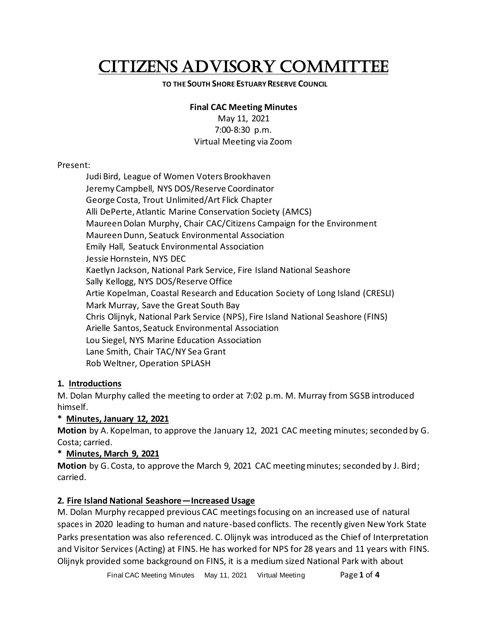# CITIZENS ADVISORY COMMITTEE

#### **TO THE SOUTH SHORE ESTUARY RESERVE COUNCIL**

#### **Final CAC Meeting Minutes**

May 11, 2021 7:00-8:30 p.m. Virtual Meeting via Zoom

#### Present:

Judi Bird, League of Women Voters Brookhaven Jeremy Campbell, NYS DOS/Reserve Coordinator George Costa, Trout Unlimited/Art Flick Chapter Alli DePerte, Atlantic Marine Conservation Society (AMCS) Maureen Dolan Murphy, Chair CAC/Citizens Campaign for the Environment Maureen Dunn, Seatuck Environmental Association Emily Hall, Seatuck Environmental Association Jessie Hornstein, NYS DEC Kaetlyn Jackson, National Park Service, Fire Island National Seashore Sally Kellogg, NYS DOS/Reserve Office Artie Kopelman, Coastal Research and Education Society of Long Island (CRESLI) Mark Murray, Save the Great South Bay Chris Olijnyk, National Park Service (NPS), Fire Island National Seashore (FINS) Arielle Santos, Seatuck Environmental Association Lou Siegel, NYS Marine Education Association Lane Smith, Chair TAC/NY Sea Grant Rob Weltner, Operation SPLASH

## **1. Introductions**

M. Dolan Murphy called the meeting to order at 7:02 p.m. M. Murray from SGSB introduced himself.

## **\* Minutes, January 12, 2021**

**Motion** by A. Kopelman, to approve the January 12, 2021 CAC meeting minutes; seconded by G. Costa; carried.

#### **\* Minutes, March 9, 2021**

**Motion** by G. Costa, to approve the March 9, 2021 CAC meeting minutes; seconded by J. Bird; carried.

## **2. Fire Island National Seashore—Increased Usage**

M. Dolan Murphy recapped previous CAC meetings focusing on an increased use of natural spaces in 2020 leading to human and nature-based conflicts. The recently given New York State Parks presentation was also referenced. C. Olijnyk was introduced as the Chief of Interpretation and Visitor Services (Acting) at FINS. He has worked for NPS for 28 years and 11 years with FINS. Olijnyk provided some background on FINS, it is a medium sized National Park with about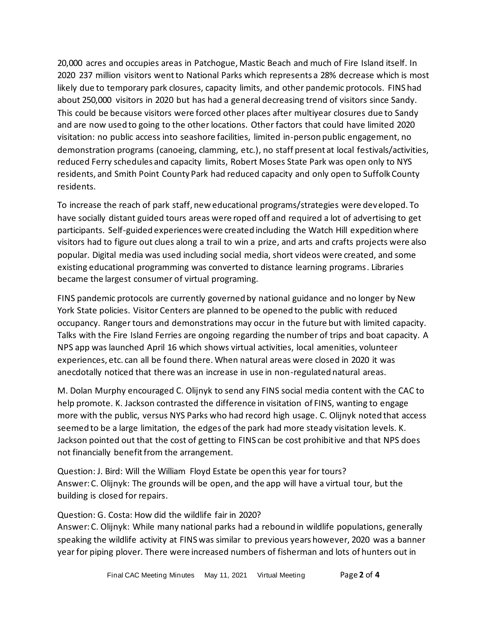20,000 acres and occupies areas in Patchogue, Mastic Beach and much of Fire Island itself. In 2020 237 million visitors went to National Parks which represents a 28% decrease which is most likely due to temporary park closures, capacity limits, and other pandemic protocols. FINS had about 250,000 visitors in 2020 but has had a general decreasing trend of visitors since Sandy. This could be because visitors were forced other places after multiyear closures due to Sandy and are now used to going to the other locations. Other factors that could have limited 2020 visitation: no public access into seashore facilities, limited in-person public engagement, no demonstration programs (canoeing, clamming, etc.), no staff present at local festivals/activities, reduced Ferry schedules and capacity limits, Robert Moses State Park was open only to NYS residents, and Smith Point County Park had reduced capacity and only open to Suffolk County residents.

To increase the reach of park staff, new educational programs/strategies were developed. To have socially distant guided tours areas were roped off and required a lot of advertising to get participants. Self-guided experiences were created including the Watch Hill expedition where visitors had to figure out clues along a trail to win a prize, and arts and crafts projects were also popular. Digital media was used including social media, short videos were created, and some existing educational programming was converted to distance learning programs. Libraries became the largest consumer of virtual programing.

FINS pandemic protocols are currently governed by national guidance and no longer by New York State policies. Visitor Centers are planned to be opened to the public with reduced occupancy. Ranger tours and demonstrations may occur in the future but with limited capacity. Talks with the Fire Island Ferries are ongoing regarding the number of trips and boat capacity. A NPS app was launched April 16 which shows virtual activities, local amenities, volunteer experiences, etc. can all be found there. When natural areas were closed in 2020 it was anecdotally noticed that there was an increase in use in non-regulated natural areas.

M. Dolan Murphy encouraged C. Olijnyk to send any FINS social media content with the CAC to help promote. K. Jackson contrasted the difference in visitation of FINS, wanting to engage more with the public, versus NYS Parks who had record high usage. C. Olijnyk noted that access seemed to be a large limitation, the edges of the park had more steady visitation levels. K. Jackson pointed out that the cost of getting to FINS can be cost prohibitive and that NPS does not financially benefit from the arrangement.

Question: J. Bird: Will the William Floyd Estate be open this year for tours? Answer: C. Olijnyk: The grounds will be open, and the app will have a virtual tour, but the building is closed for repairs.

Question: G. Costa: How did the wildlife fair in 2020?

Answer: C. Olijnyk: While many national parks had a rebound in wildlife populations, generally speaking the wildlife activity at FINS was similar to previous years however, 2020 was a banner year for piping plover. There were increased numbers of fisherman and lots of hunters out in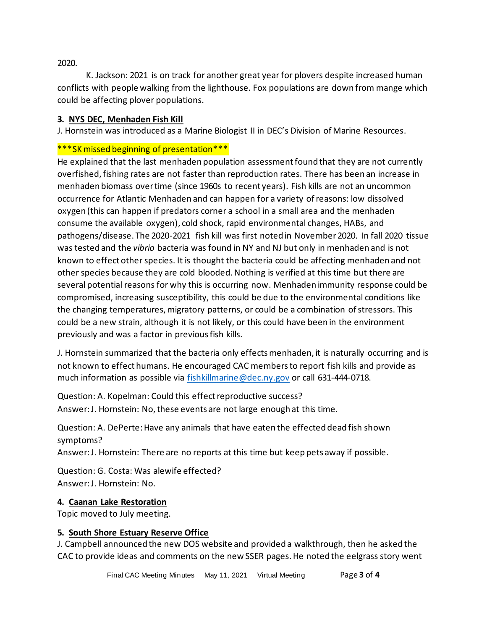2020.

K. Jackson: 2021 is on track for another great year for plovers despite increased human conflicts with people walking from the lighthouse. Fox populations are down from mange which could be affecting plover populations.

#### **3. NYS DEC, Menhaden Fish Kill**

J. Hornstein was introduced as a Marine Biologist II in DEC's Division of Marine Resources.

# \*\*\*SK missed beginning of presentation\*\*\*

He explained that the last menhaden population assessment found that they are not currently overfished, fishing rates are not faster than reproduction rates. There has been an increase in menhaden biomass over time (since 1960s to recent years). Fish kills are not an uncommon occurrence for Atlantic Menhaden and can happen for a variety of reasons: low dissolved oxygen (this can happen if predators corner a school in a small area and the menhaden consume the available oxygen), cold shock, rapid environmental changes, HABs, and pathogens/disease. The 2020-2021 fish kill was first noted in November 2020. In fall 2020 tissue was tested and the *vibrio* bacteria was found in NY and NJ but only in menhaden and is not known to effect other species. It is thought the bacteria could be affecting menhaden and not other species because they are cold blooded. Nothing is verified at this time but there are several potential reasons for why this is occurring now. Menhaden immunity response could be compromised, increasing susceptibility, this could be due to the environmental conditions like the changing temperatures, migratory patterns, or could be a combination of stressors. This could be a new strain, although it is not likely, or this could have been in the environment previously and was a factor in previous fish kills.

J. Hornstein summarized that the bacteria only effects menhaden, it is naturally occurring and is not known to effect humans. He encouraged CAC members to report fish kills and provide as much information as possible via [fishkillmarine@dec.ny.gov](mailto:fishkillmarine@dec.ny.gov) or call 631-444-0718.

Question: A. Kopelman: Could this effect reproductive success? Answer: J. Hornstein: No, these events are not large enough at this time.

Question: A. DePerte: Have any animals that have eaten the effected dead fish shown symptoms?

Answer: J. Hornstein: There are no reports at this time but keep pets away if possible.

Question: G. Costa: Was alewife effected? Answer: J. Hornstein: No.

## **4. Caanan Lake Restoration**

Topic moved to July meeting.

#### **5. South Shore Estuary Reserve Office**

J. Campbell announced the new DOS website and provided a walkthrough, then he asked the CAC to provide ideas and comments on the new SSER pages. He noted the eelgrass story went